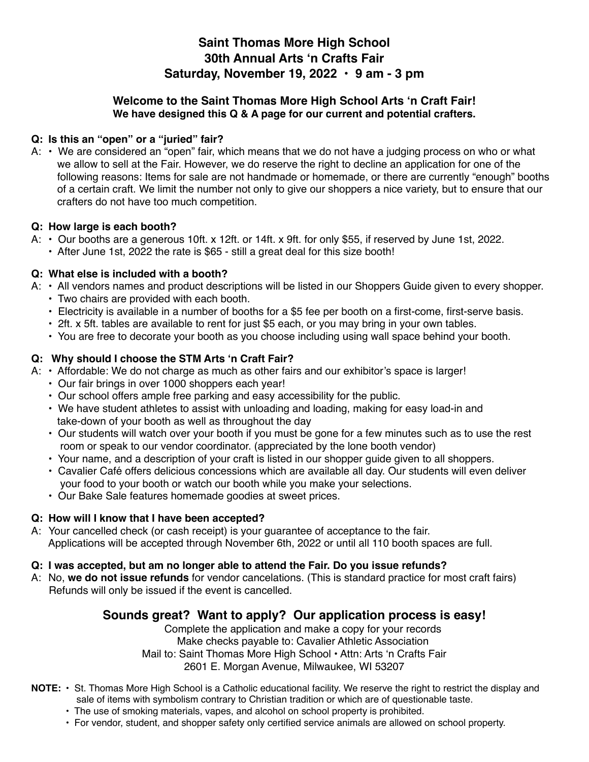## **Saint Thomas More High School 30th Annual Arts 'n Crafts Fair Saturday, November 19, 2022 • 9 am - 3 pm**

## **Welcome to the Saint Thomas More High School Arts 'n Craft Fair! We have designed this Q & A page for our current and potential crafters.**

## **Q: Is this an "open" or a "juried" fair?**

A: • We are considered an "open" fair, which means that we do not have a judging process on who or what we allow to sell at the Fair. However, we do reserve the right to decline an application for one of the following reasons: Items for sale are not handmade or homemade, or there are currently "enough" booths of a certain craft. We limit the number not only to give our shoppers a nice variety, but to ensure that our crafters do not have too much competition.

## **Q: How large is each booth?**

- A: Our booths are a generous 10ft. x 12ft. or 14ft. x 9ft. for only \$55, if reserved by June 1st, 2022.
	- After June 1st, 2022 the rate is \$65 still a great deal for this size booth!

## **Q: What else is included with a booth?**

- A: All vendors names and product descriptions will be listed in our Shoppers Guide given to every shopper.
	- Two chairs are provided with each booth.
	- Electricity is available in a number of booths for a \$5 fee per booth on a first-come, first-serve basis.
	- 2ft. x 5ft. tables are available to rent for just \$5 each, or you may bring in your own tables.
	- You are free to decorate your booth as you choose including using wall space behind your booth.

## **Q: Why should I choose the STM Arts 'n Craft Fair?**

- A: Affordable: We do not charge as much as other fairs and our exhibitor's space is larger!
	- Our fair brings in over 1000 shoppers each year!
	- Our school offers ample free parking and easy accessibility for the public.
	- We have student athletes to assist with unloading and loading, making for easy load-in and take-down of your booth as well as throughout the day
	- Our students will watch over your booth if you must be gone for a few minutes such as to use the rest room or speak to our vendor coordinator. (appreciated by the lone booth vendor)
	- Your name, and a description of your craft is listed in our shopper guide given to all shoppers.
	- Cavalier Café offers delicious concessions which are available all day. Our students will even deliver your food to your booth or watch our booth while you make your selections.
	- Our Bake Sale features homemade goodies at sweet prices.

## **Q: How will I know that I have been accepted?**

A: Your cancelled check (or cash receipt) is your guarantee of acceptance to the fair. Applications will be accepted through November 6th, 2022 or until all 110 booth spaces are full.

## **Q: I was accepted, but am no longer able to attend the Fair. Do you issue refunds?**

A: No, **we do not issue refunds** for vendor cancelations. (This is standard practice for most craft fairs) Refunds will only be issued if the event is cancelled.

## **Sounds great? Want to apply? Our application process is easy!**

Complete the application and make a copy for your records Make checks payable to: Cavalier Athletic Association Mail to: Saint Thomas More High School • Attn: Arts 'n Crafts Fair 2601 E. Morgan Avenue, Milwaukee, WI 53207

- **NOTE:** St. Thomas More High School is a Catholic educational facility. We reserve the right to restrict the display and sale of items with symbolism contrary to Christian tradition or which are of questionable taste.
	- The use of smoking materials, vapes, and alcohol on school property is prohibited.
	- For vendor, student, and shopper safety only certified service animals are allowed on school property.